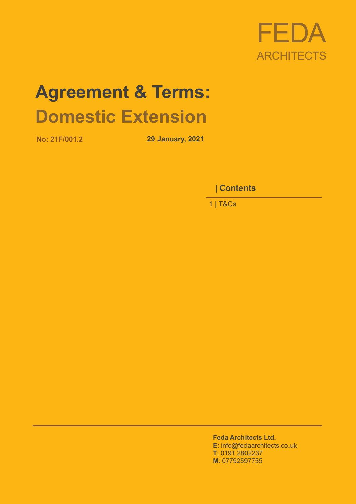

# **Agreement & Terms: Domestic Extension**

**No: 21F/001.2 29 January, 2021**

0 **| Contents**

1 | T&Cs

**Feda Architects Ltd. E**: info@fedaarchitects.co.uk **T**: 0191 2802237 **M**: 07792597755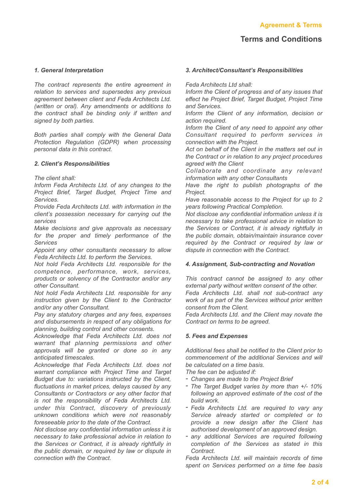# *1. General Interpretation*

*The contract represents the entire agreement in relation to services and supersedes any previous agreement between client and Feda Architects Ltd. (written or oral). Any amendments or additions to the contract shall be binding only if written and signed by both parties.*

*Both parties shall comply with the General Data Protection Regulation (GDPR) when processing personal data in this contract.*

# *2. Client's Responsibilities*

*The client shall:*

*Inform Feda Architects Ltd. of any changes to the Project Brief, Target Budget, Project Time and Services.*

*Provide Feda Architects Ltd. with information in the client's possession necessary for carrying out the services*

*Make decisions and give approvals as necessary for the proper and timely performance of the Services*

*Appoint any other consultants necessary to allow Feda Architects Ltd. to perform the Services.*

*Not hold Feda Architects Ltd. responsible for the competence, performance, work, services, products or solvency of the Contractor and/or any other Consultant.*

*Not hold Feda Architects Ltd. responsible for any instruction given by the Client to the Contractor and/or any other Consultant.*

*Pay any statutory charges and any fees, expenses and disbursements in respect of any obligations for planning, building control and other consents.*

*Acknowledge that Feda Architects Ltd. does not warrant that planning permissions and other approvals will be granted or done so in any anticipated timescales.*

*Acknowledge that Feda Architects Ltd. does not warrant compliance with Project Time and Target Budget due to: variations instructed by the Client, fluctuations in market prices, delays caused by any Consultants or Contractors or any other factor that is not the responsibility of Feda Architects Ltd. under this Contract, discovery of previously unknown conditions which were not reasonably foreseeable prior to the date of the Contract.*

*Not disclose any confidential information unless it is necessary to take professional advice in relation to the Services or Contract, it is already rightfully in the public domain, or required by law or dispute in connection with the Contract.*

#### *3. Architect/Consultant's Responsibilities*

*Feda Architects Ltd shall:*

*Inform the Client of progress and of any issues that effect he Project Brief, Target Budget, Project Time and Services.*

*Inform the Client of any information, decision or action required.*

*Inform the Client of any need to appoint any other Consultant required to perform services in connection with the Project.*

*Act on behalf of the Client in the matters set out in the Contract or in relation to any project procedures agreed with the Client*

*Collabo rate and coo rdinate any relevant information with any other Consultants*

*Have the right to publish photographs of the Project.*

*Have reasonable access to the Project for up to 2 years following Practical Completion.*

*Not disclose any confidential information unless it is necessary to take professional advice in relation to the Services or Contract, it is already rightfully in the public domain, obtain/maintain insurance cover required by the Contract or required by law or dispute in connection with the Contract.*

# *4. Assignment, Sub-contracting and Novation*

*This contract cannot be assigned to any other external party without written consent of the other. Feda Architects Ltd. shall not sub-contract any work of as part of the Services without prior written*

*consent from the Client.*

*Feda Architects Ltd. and the Client may novate the Contract on terms to be agreed.*

#### *5. Fees and Expenses*

*Additional fees shall be notified to the Client prior to commencement of the additional Services and will be calculated on a time basis.*

*The fee can be adjusted if:*

- *- Changes are made to the Project Brief*
- *- The Target Budget varies by more than +/- 10% following an approved estimate of the cost of the build work.*
- *- Feda Architects Ltd. are required to vary any Service already started or completed or to provide a new design after the Client has authorised development of an approved design.*
- *- any additional Services are required following completion of the Services as stated in this Contract.*

*Feda Architects Ltd. will maintain records of time spent on Services performed on a time fee basis*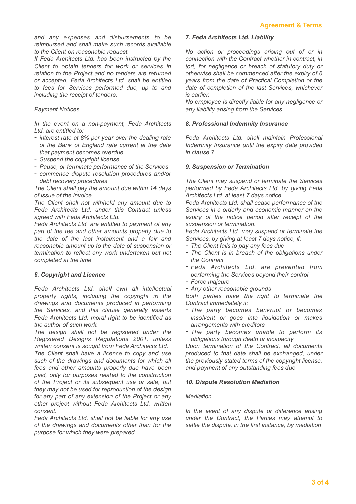*and any expenses and disbursements to be reimbursed and shall make such records available to the Client on reasonable request.*

*If Feda Architects Ltd. has been instructed by the Client to obtain tenders for work or services in relation to the Project and no tenders are returned or accepted, Feda Architects Ltd. shall be entitled to fees for Services performed due, up to and including the receipt of tenders.*

# *Payment Notices*

*In the event on a non-payment, Feda Architects Ltd. are entitled to:*

- *- interest rate at 8% per year over the dealing rate of the Bank of England rate current at the date that payment becomes overdue*
- *- Suspend the copyright license*
- *- Pause, or terminate performance of the Services*
- *- commence dispute resolution procedures and/or debt recovery procedures*

*The Client shall pay the amount due within 14 days of issue of the invoice.*

*The Client shall not withhold any amount due to Feda Architects Ltd. under this Contract unless agreed with Feda Architects Ltd.*

*Feda Architects Ltd. are entitled to payment of any part of the fee and other amounts properly due to the date of the last instalment and a fair and reasonable amount up to the date of suspension or termination to reflect any work undertaken but not completed at the time.*

# *6. Copyright and Licence*

*Feda Architects Ltd. shall own all intellectual property rights, including the copyright in the drawings and documents produced in performing the Services, and this clause generally asserts Feda Architects Ltd. moral right to be identified as the author of such work.*

*The design shall not be registered under the Registered Designs Regulations 2001, unless written consent is sought from Feda Architects Ltd.*

*The Client shall have a licence to copy and use such of the drawings and documents for which all fees and other amounts properly due have been paid, only for purposes related to the construction of the Project or its subsequent use or sale, but they may not be used for reproduction of the design for any part of any extension of the Project or any other project without Feda Architects Ltd. written consent.*

*Feda Architects Ltd. shall not be liable for any use of the drawings and documents other than for the purpose for which they were prepared.*

#### *7. Feda Architects Ltd. Liability*

*No action or proceedings arising out of or in connection with the Contract whether in contract, in tort, for negligence or breach of statutory duty or otherwise shall be commenced after the expiry of 6 years from the date of Practical Completion or the date of completion of the last Services, whichever is earlier.*

*No employee is directly liable for any negligence or any liability arising from the Services.*

# *8. Professional Indemnity Insurance*

*Feda Architects Ltd. shall maintain Professional Indemnity Insurance until the expiry date provided in clause 7.*

#### *9. Suspension or Termination*

*The Client may suspend or terminate the Services performed by Feda Architects Ltd. by giving Feda Architects Ltd. at least 7 days notice.*

*Feda Architects Ltd. shall cease performance of the Services in a orderly and economic manner on the expiry of the notice period after receipt of the suspension or termination.*

*Feda Architects Ltd. may suspend or terminate the Services, by giving at least 7 days notice, if:*

- *- The Client fails to pay any fees due*
- *- The Client is in breach of the obligations under the Contract*
- *- Feda Architects Ltd. are prevented from performing the Services beyond their control*
- *- Force majeure*
- *- Any other reasonable grounds*

*Both parties have the right to terminate the Contract immediately if:*

- *- The party becomes bankrupt or becomes insolvent or goes into liquidation or makes arrangements with creditors*
- *- The party becomes unable to perform its obligations through death or incapacity*

*Upon termination of the Contract, all documents produced to that date shall be exchanged, under the previously stated terms of the copyright license, and payment of any outstanding fees due.*

# *10. Dispute Resolution Mediation*

# *Mediation*

*In the event of any dispute or difference arising under the Contract, the Parties may attempt to settle the dispute, in the first instance, by mediation*